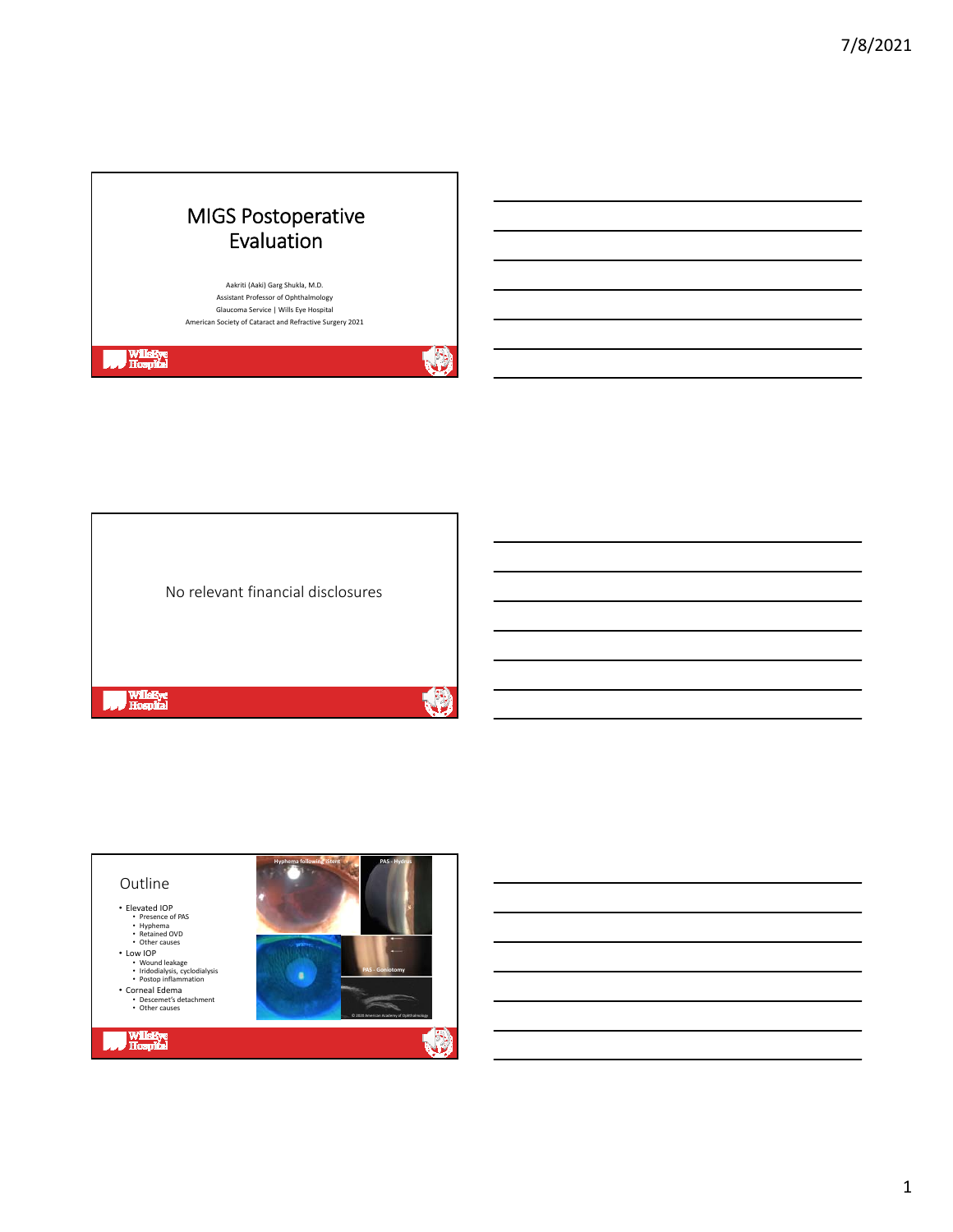



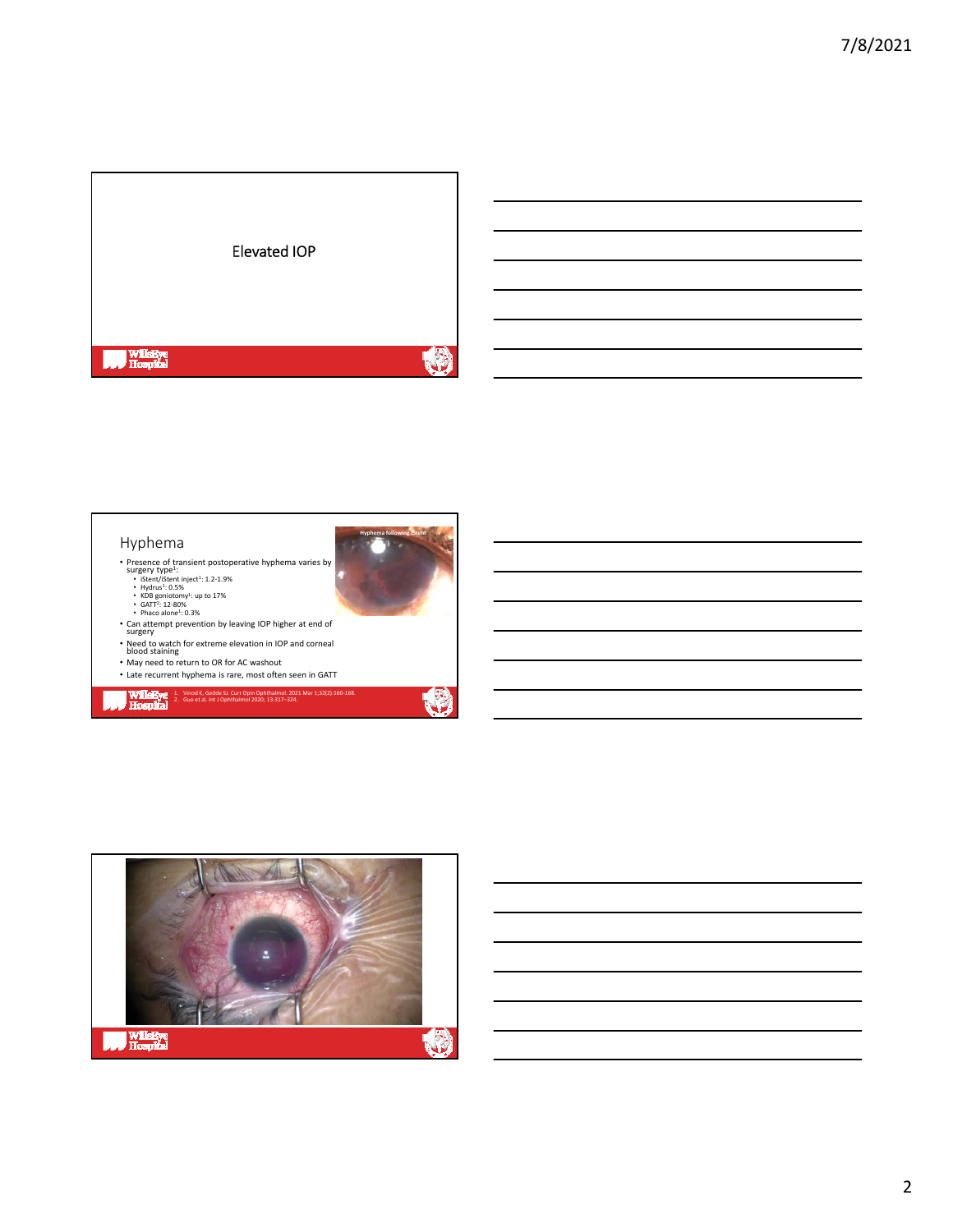



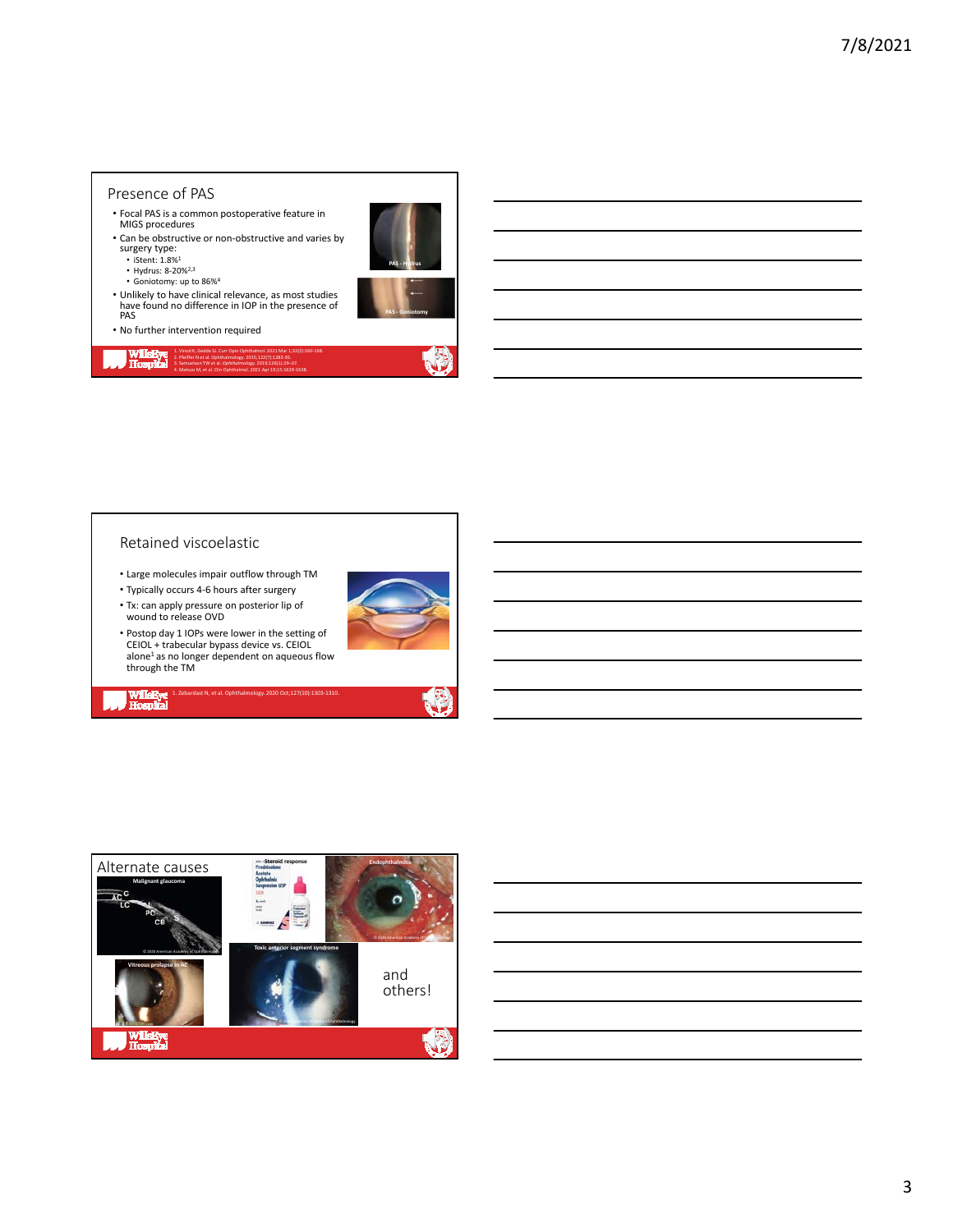### Presence of PAS

- Focal PAS is a common postoperative feature in MIGS procedures
- Can be obstructive or non‐obstructive and varies by **surgery type:<br>• iStent: 1.8%<sup>1</sup><br>• Hydrus: 8-20%<sup>2,3</sup>** 
	-
	- Goniotomy: up to 86%4
- Unlikely to have clinical relevance, as most studies have found no difference in IOP in the presence of PAS
- No further intervention required



G

**PAS ‐ Hydrus**

WillsBye<br>Hospital 1. Vinod K, Gedde SJ. Curr Opin Ophthalmol. 2021 Mar 1;32(2):160‐168. 2. Pfeiffer N et al. Ophthalmology. 2015;122(7):1283‐93. 3. Samuelson TW et al. *Ophthalmology*. 2019;126(1):29–37. 4. Matsuo M, et al. Clin Ophthalmol. 2021 Apr 19;15:1629‐1638.

### Retained viscoelastic

**Wilskye**<br>Hospital

- Large molecules impair outflow through TM
- Typically occurs 4‐6 hours after surgery
- Tx: can apply pressure on posterior lip of wound to release OVD



• Postop day 1 IOPs were lower in the setting of CEIOL + trabecular bypass device vs. CEIOL<br>alone<sup>1</sup> as no longer dependent on aqueous flow<br>through the TM

1. Zebardast N, et al. Ophthalmology. 2020 Oct;127(10):1303‐1310.





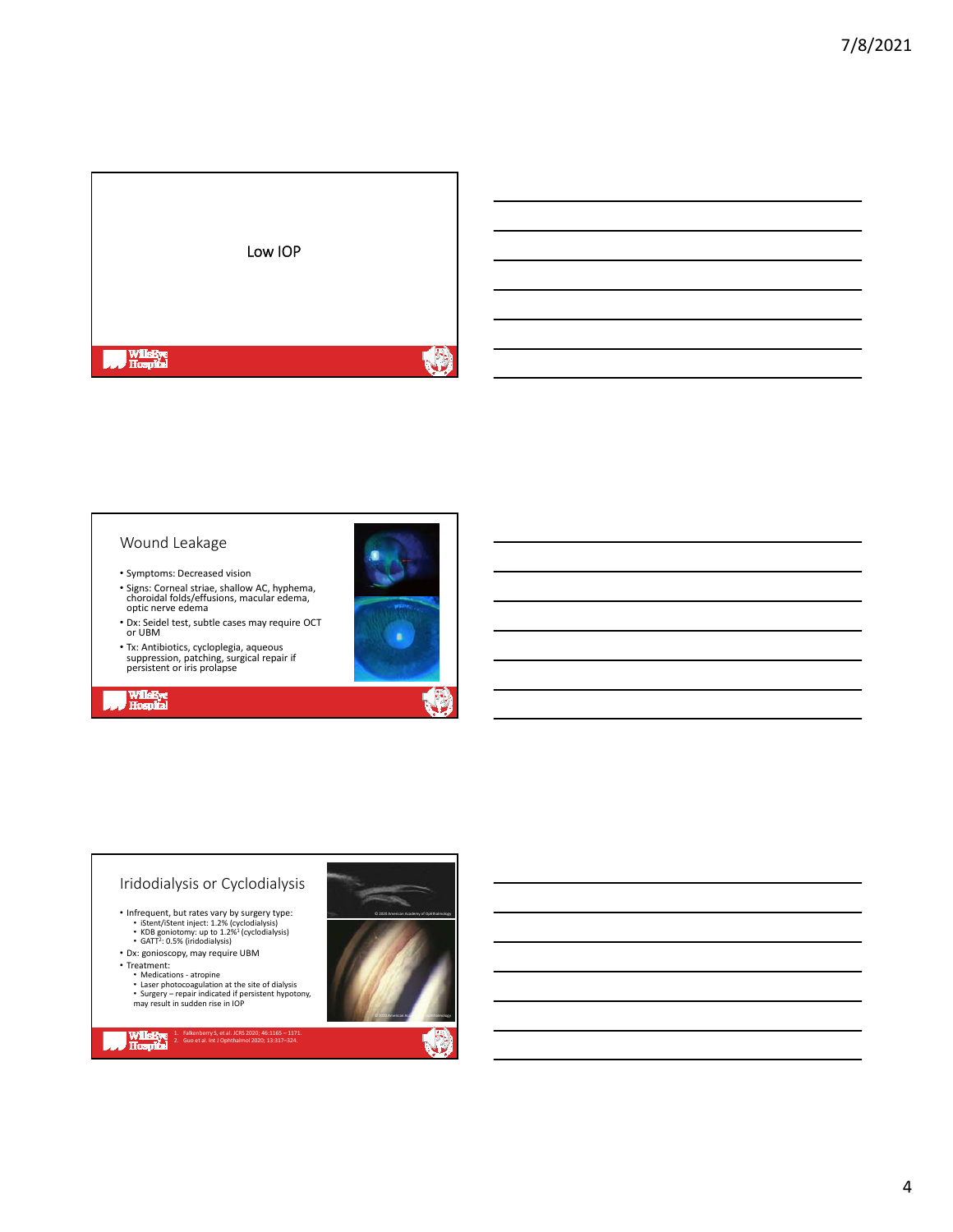

# Wound Leakage

- Symptoms: Decreased vision • Signs: Corneal striae, shallow AC, hyphema, choroidal folds/effusions, macular edema, optic nerve edema
- Dx: Seidel test, subtle cases may require OCT or UBM
- Tx: Antibiotics, cycloplegia, aqueous suppression, patching, surgical repair if persistent or iris prolapse



WilaEye<br>Hospital

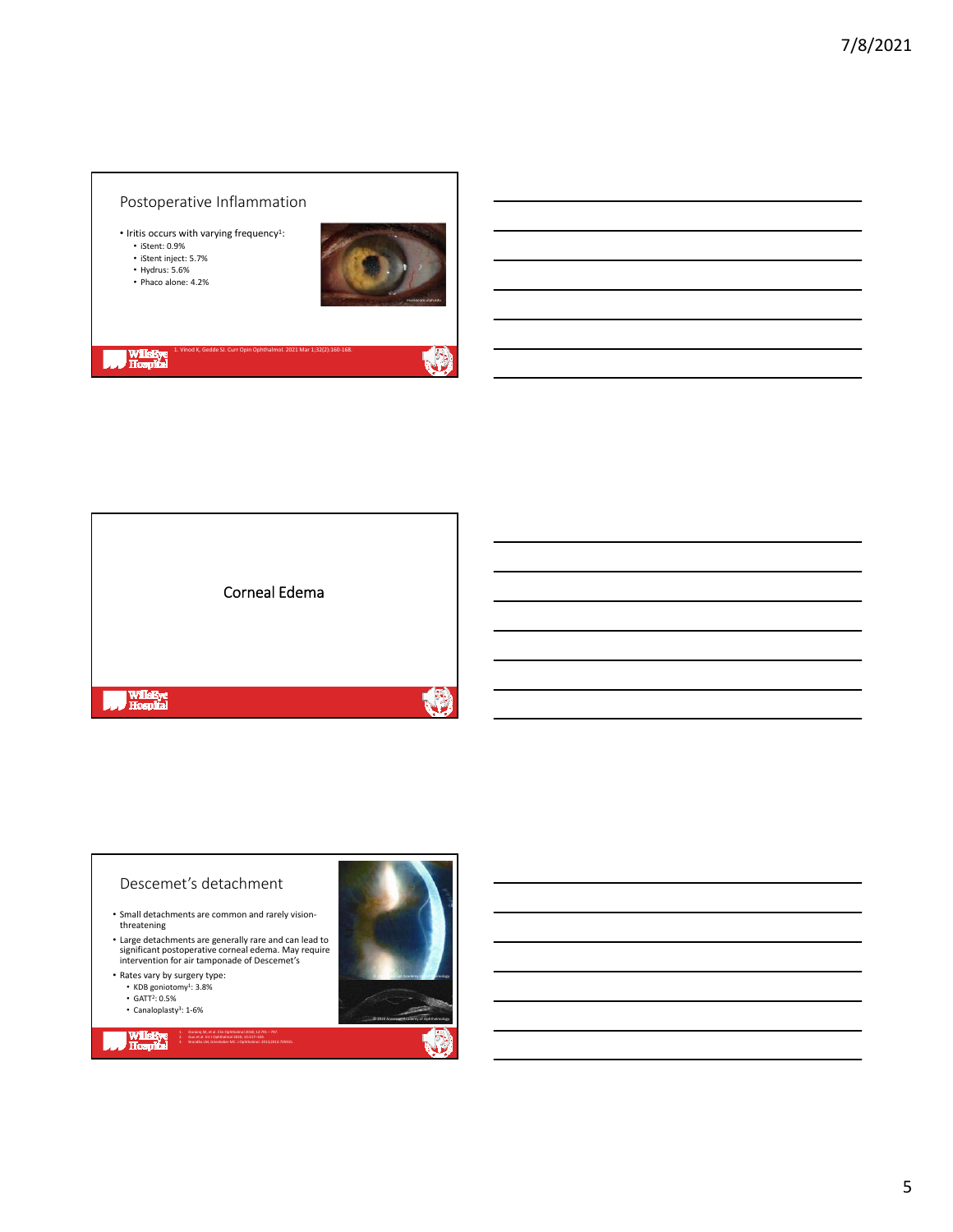# Postoperative Inflammation

 $\bullet$  Iritis occurs with varying frequency<sup>1</sup>:

- iStent: 0.9%
- iStent inject: 5.7% Hydrus: 5.6%

Wilskye<br>Hospital

• Phaco alone: 4.2%



G



1. Vinod K, Gedde SJ. Curr Opin Ophthalmol. 2021 Mar 1;32(2):160‐168.